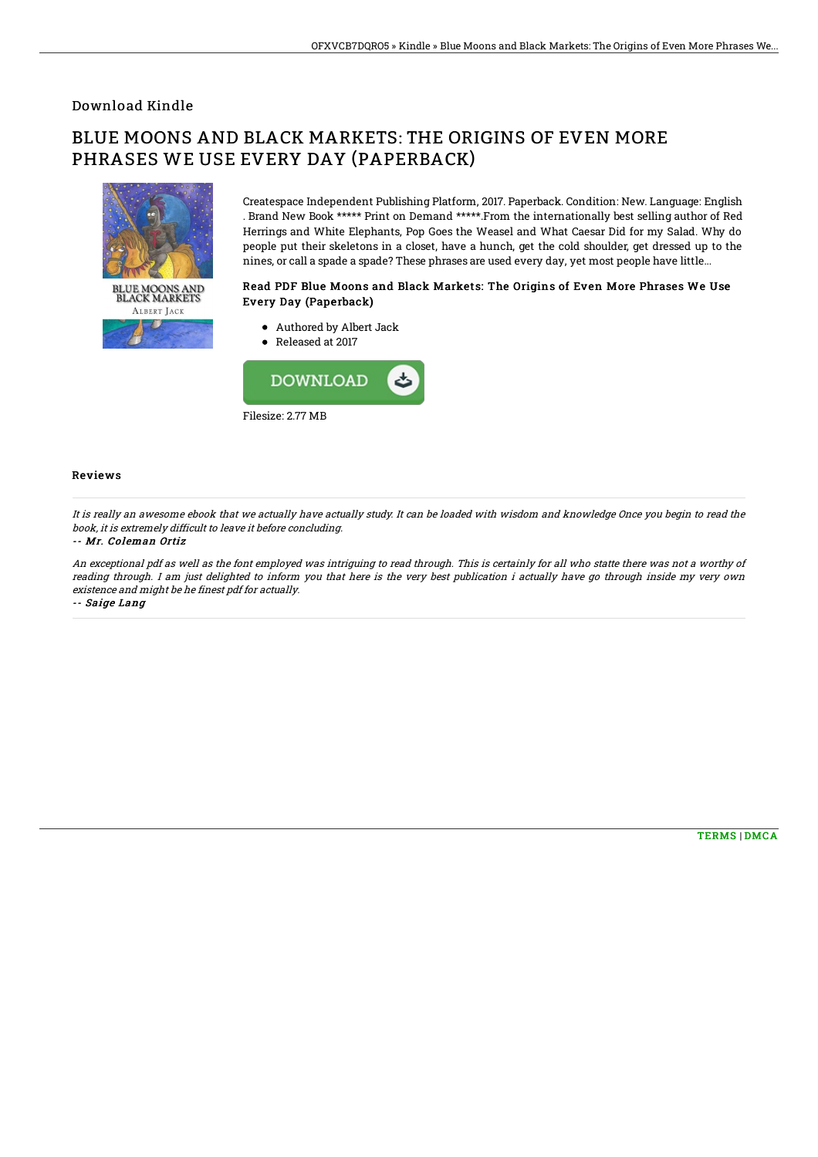## Download Kindle

# BLUE MOONS AND BLACK MARKETS: THE ORIGINS OF EVEN MORE PHRASES WE USE EVERY DAY (PAPERBACK)



ALBERT JACK

Createspace Independent Publishing Platform, 2017. Paperback. Condition: New. Language: English . Brand New Book \*\*\*\*\* Print on Demand \*\*\*\*\*.From the internationally best selling author of Red Herrings and White Elephants, Pop Goes the Weasel and What Caesar Did for my Salad. Why do people put their skeletons in a closet, have a hunch, get the cold shoulder, get dressed up to the nines, or call a spade a spade? These phrases are used every day, yet most people have little...

### Read PDF Blue Moons and Black Markets: The Origins of Even More Phrases We Use Every Day (Paperback)

- Authored by Albert Jack
- Released at 2017



#### Reviews

It is really an awesome ebook that we actually have actually study. It can be loaded with wisdom and knowledge Once you begin to read the book, it is extremely difficult to leave it before concluding.

#### -- Mr. Coleman Ortiz

An exceptional pdf as well as the font employed was intriguing to read through. This is certainly for all who statte there was not <sup>a</sup> worthy of reading through. I am just delighted to inform you that here is the very best publication i actually have go through inside my very own existence and might be he finest pdf for actually.

-- Saige Lang